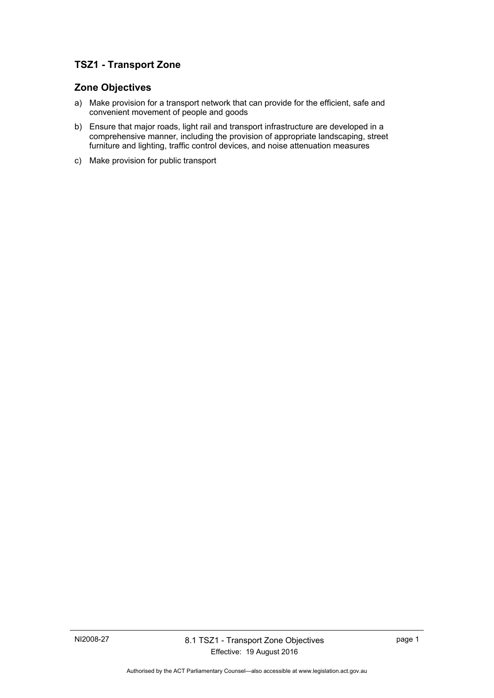# **TSZ1 - Transport Zone**

## **Zone Objectives**

- a) Make provision for a transport network that can provide for the efficient, safe and convenient movement of people and goods
- b) Ensure that major roads, light rail and transport infrastructure are developed in a comprehensive manner, including the provision of appropriate landscaping, street furniture and lighting, traffic control devices, and noise attenuation measures
- c) Make provision for public transport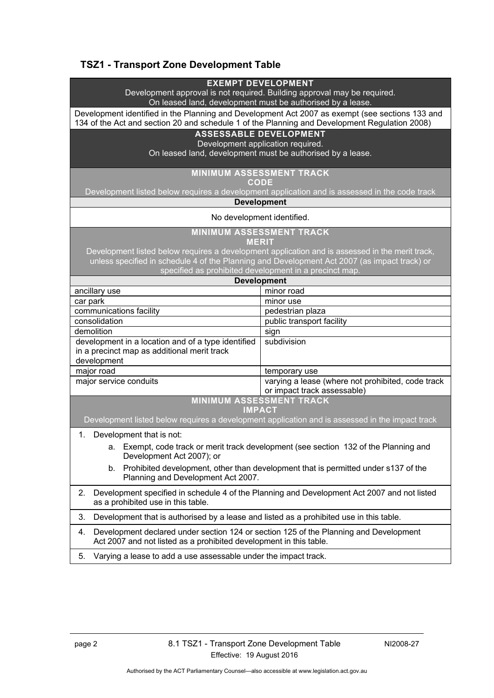# **TSZ1 - Transport Zone Development Table**

| <b>EXEMPT DEVELOPMENT</b> |
|---------------------------|
|---------------------------|

Development approval is not required. Building approval may be required. On leased land, development must be authorised by a lease.

Development identified in the Planning and Development Act 2007 as exempt (see sections 133 and 134 of the Act and section 20 and schedule 1 of the Planning and Development Regulation 2008)

## **ASSESSABLE DEVELOPMENT**

Development application required.

On leased land, development must be authorised by a lease.

### **MINIMUM ASSESSMENT TRACK**

**CODE** 

Development listed below requires a development application and is assessed in the code track

#### **Development**

#### No development identified.

**MINIMUM ASSESSMENT TRACK** 

**MERIT** 

Development listed below requires a development application and is assessed in the merit track, unless specified in schedule 4 of the Planning and Development Act 2007 (as impact track) or specified as prohibited development in a precinct map.

| <b>Development</b>                                                                                               |                                                                                  |
|------------------------------------------------------------------------------------------------------------------|----------------------------------------------------------------------------------|
| ancillary use                                                                                                    | minor road                                                                       |
| car park                                                                                                         | minor use                                                                        |
| communications facility                                                                                          | pedestrian plaza                                                                 |
| consolidation                                                                                                    | public transport facility                                                        |
| demolition                                                                                                       | sign                                                                             |
| development in a location and of a type identified<br>in a precinct map as additional merit track<br>development | subdivision                                                                      |
| major road                                                                                                       | temporary use                                                                    |
| major service conduits                                                                                           | varying a lease (where not prohibited, code track<br>or impact track assessable) |
| <b>MINIMUM ASSESSMENT TRACK</b>                                                                                  |                                                                                  |

#### **IMPACT**

Development listed below requires a development application and is assessed in the impact track

- 1. Development that is not:
	- a. Exempt, code track or merit track development (see section 132 of the Planning and Development Act 2007); or
	- b. Prohibited development, other than development that is permitted under s137 of the Planning and Development Act 2007.
- 2. Development specified in schedule 4 of the Planning and Development Act 2007 and not listed as a prohibited use in this table.
- 3. Development that is authorised by a lease and listed as a prohibited use in this table.
- 4. Development declared under section 124 or section 125 of the Planning and Development Act 2007 and not listed as a prohibited development in this table.
- 5. Varying a lease to add a use assessable under the impact track.